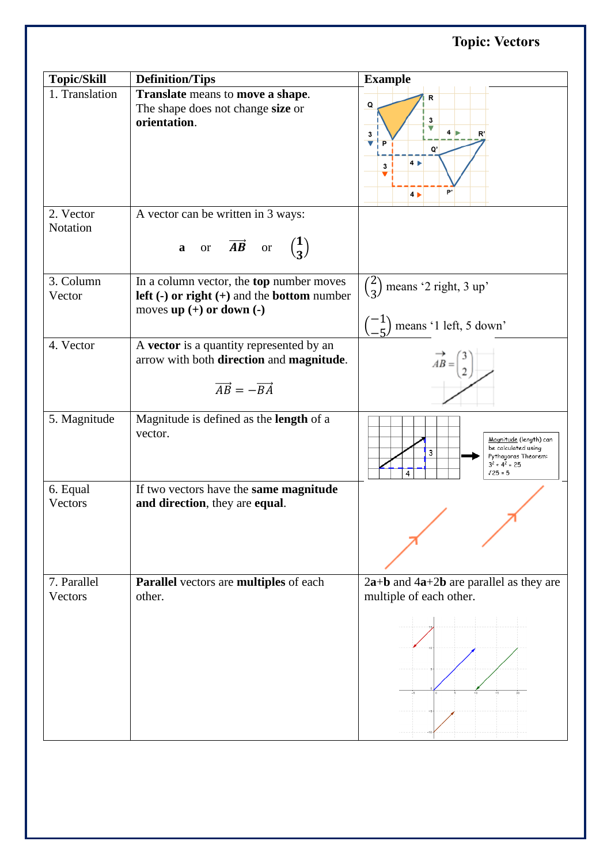## **Topic: Vectors**

| <b>Topic/Skill</b>     | <b>Definition/Tips</b>                                                                                                                       | <b>Example</b>                                                                                                             |
|------------------------|----------------------------------------------------------------------------------------------------------------------------------------------|----------------------------------------------------------------------------------------------------------------------------|
| 1. Translation         | Translate means to move a shape.<br>The shape does not change size or<br>orientation.                                                        | R<br>${\sf Q}$<br>3<br>4 <sub>b</sub><br>R'<br>3<br>v<br>P<br>O'<br>4 <sub>1</sub><br>3<br>b,<br>4 <sub>b</sub>            |
| 2. Vector<br>Notation  | A vector can be written in 3 ways:<br><b>a</b> or $\overrightarrow{AB}$ or $\begin{pmatrix} 1 \\ 3 \end{pmatrix}$                            |                                                                                                                            |
| 3. Column<br>Vector    | In a column vector, the <b>top</b> number moves<br><b>left</b> (-) or right (+) and the <b>bottom</b> number<br>moves $up (+)$ or down $(-)$ | $\binom{2}{3}$ means '2 right, 3 up'<br>$\begin{pmatrix} -1 \\ 1 \end{pmatrix}$ means '1 left, 5 down'                     |
| 4. Vector              | A vector is a quantity represented by an<br>arrow with both direction and magnitude.<br>$\overrightarrow{AB} = -\overrightarrow{BA}$         | $AB =$                                                                                                                     |
| 5. Magnitude           | Magnitude is defined as the <b>length</b> of a<br>vector.                                                                                    | Magnitude (length) can<br>be calculated using<br>3<br>Pythagoras Theorem:<br>$3^2$ + 4 <sup>2</sup> = 25<br>$J25 = 5$<br>4 |
| 6. Equal<br>Vectors    | If two vectors have the same magnitude<br>and direction, they are equal.                                                                     |                                                                                                                            |
| 7. Parallel<br>Vectors | Parallel vectors are multiples of each<br>other.                                                                                             | $2a+b$ and $4a+2b$ are parallel as they are<br>multiple of each other.                                                     |